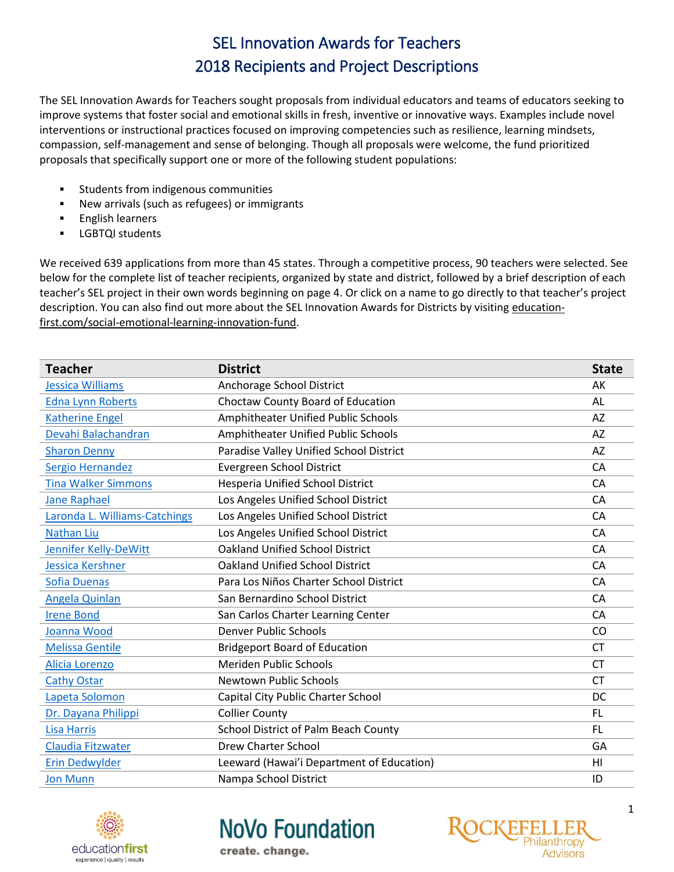The SEL Innovation Awards for Teachers sought proposals from individual educators and teams of educators seeking to improve systems that foster social and emotional skills in fresh, inventive or innovative ways. Examples include novel interventions or instructional practices focused on improving competencies such as resilience, learning mindsets, compassion, self-management and sense of belonging. Though all proposals were welcome, the fund prioritized proposals that specifically support one or more of the following student populations:

- Students from indigenous communities
- New arrivals (such as refugees) or immigrants
- English learners
- LGBTQI students

We received 639 applications from more than 45 states. Through a competitive process, 90 teachers were selected. See below for the complete list of teacher recipients, organized by state and district, followed by a brief description of each teacher's SEL project in their own words beginning on page 4. Or click on a name to go directly to that teacher's project description. You can also find out more about the SEL Innovation Awards for Districts by visiting [education](http://education-first.com/social-emotional-learning-innovation-fund/)[first.com/social-emotional-learning-innovation-fund.](http://education-first.com/social-emotional-learning-innovation-fund/)

| <b>Teacher</b>                | <b>District</b>                           | <b>State</b>   |  |
|-------------------------------|-------------------------------------------|----------------|--|
| Jessica Williams              | Anchorage School District                 | AK             |  |
| <b>Edna Lynn Roberts</b>      | Choctaw County Board of Education         | AL             |  |
| <b>Katherine Engel</b>        | Amphitheater Unified Public Schools       | <b>AZ</b>      |  |
| Devahi Balachandran           | Amphitheater Unified Public Schools       | <b>AZ</b>      |  |
| <b>Sharon Denny</b>           | Paradise Valley Unified School District   | AZ             |  |
| Sergio Hernandez              | <b>Evergreen School District</b>          | CA             |  |
| <b>Tina Walker Simmons</b>    | <b>Hesperia Unified School District</b>   | CA             |  |
| <b>Jane Raphael</b>           | Los Angeles Unified School District       | CA             |  |
| Laronda L. Williams-Catchings | Los Angeles Unified School District       | CA             |  |
| <b>Nathan Liu</b>             | Los Angeles Unified School District       | CA             |  |
| Jennifer Kelly-DeWitt         | <b>Oakland Unified School District</b>    | CA             |  |
| Jessica Kershner              | <b>Oakland Unified School District</b>    | CA             |  |
| <b>Sofia Duenas</b>           | Para Los Niños Charter School District    | CA             |  |
| Angela Quinlan                | San Bernardino School District            | CA             |  |
| <b>Irene Bond</b>             | San Carlos Charter Learning Center        | CA             |  |
| Joanna Wood                   | <b>Denver Public Schools</b>              | CO             |  |
| <b>Melissa Gentile</b>        | <b>Bridgeport Board of Education</b>      | <b>CT</b>      |  |
| Alicia Lorenzo                | Meriden Public Schools                    | <b>CT</b>      |  |
| <b>Cathy Ostar</b>            | Newtown Public Schools                    | <b>CT</b>      |  |
| Lapeta Solomon                | Capital City Public Charter School        | DC             |  |
| Dr. Dayana Philippi           | <b>Collier County</b>                     | <b>FL</b>      |  |
| <b>Lisa Harris</b>            | School District of Palm Beach County      | FL.            |  |
| Claudia Fitzwater             | <b>Drew Charter School</b>                | GA             |  |
| <b>Erin Dedwylder</b>         | Leeward (Hawai'i Department of Education) | H <sub>l</sub> |  |
| <b>Jon Munn</b>               | Nampa School District                     | ID             |  |



**NoVo Foundation** 

create. change.

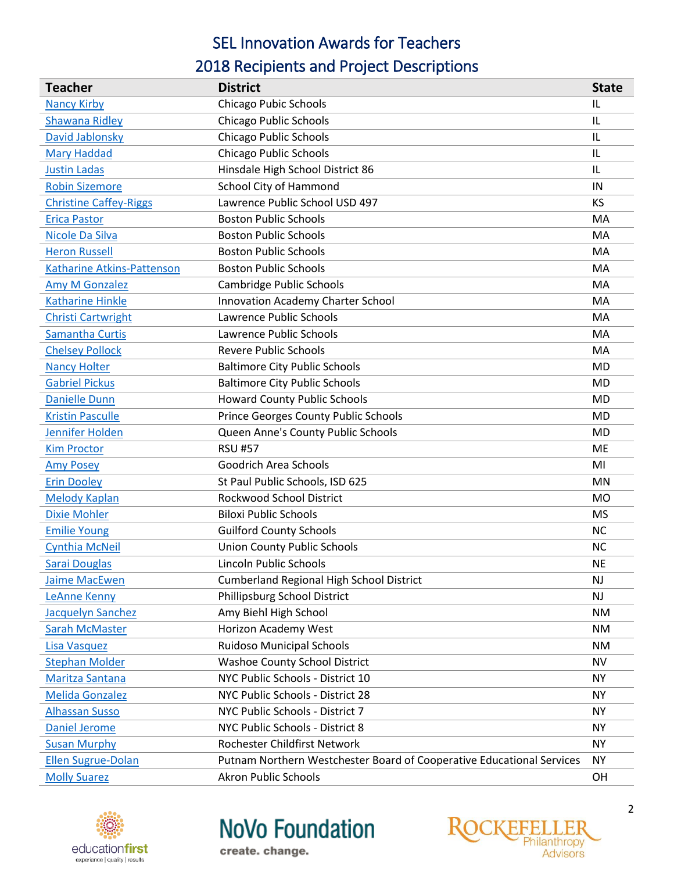# SEL Innovation Awards for Teachers

# 2018 Recipients and Project Descriptions

| <b>Teacher</b>                    | <b>District</b>                                                       | <b>State</b>   |
|-----------------------------------|-----------------------------------------------------------------------|----------------|
| <b>Nancy Kirby</b>                | <b>Chicago Pubic Schools</b>                                          | IL             |
| <b>Shawana Ridley</b>             | <b>Chicago Public Schools</b>                                         | IL             |
| David Jablonsky                   | <b>Chicago Public Schools</b>                                         | IL             |
| <b>Mary Haddad</b>                | <b>Chicago Public Schools</b>                                         | IL             |
| <b>Justin Ladas</b>               | Hinsdale High School District 86                                      | IL             |
| <b>Robin Sizemore</b>             | School City of Hammond                                                | IN             |
| <b>Christine Caffey-Riggs</b>     | Lawrence Public School USD 497                                        | KS             |
| <b>Erica Pastor</b>               | <b>Boston Public Schools</b>                                          | MA             |
| Nicole Da Silva                   | <b>Boston Public Schools</b>                                          | MA             |
| <b>Heron Russell</b>              | <b>Boston Public Schools</b>                                          | MA             |
| <b>Katharine Atkins-Pattenson</b> | <b>Boston Public Schools</b>                                          | MA             |
| <b>Amy M Gonzalez</b>             | Cambridge Public Schools                                              | MA             |
| <b>Katharine Hinkle</b>           | <b>Innovation Academy Charter School</b>                              | MA             |
| <b>Christi Cartwright</b>         | Lawrence Public Schools                                               | MA             |
| <b>Samantha Curtis</b>            | Lawrence Public Schools                                               | MA             |
| <b>Chelsey Pollock</b>            | <b>Revere Public Schools</b>                                          | MA             |
| <b>Nancy Holter</b>               | <b>Baltimore City Public Schools</b>                                  | <b>MD</b>      |
| <b>Gabriel Pickus</b>             | <b>Baltimore City Public Schools</b>                                  | <b>MD</b>      |
| <b>Danielle Dunn</b>              | <b>Howard County Public Schools</b>                                   | <b>MD</b>      |
| <b>Kristin Pasculle</b>           | Prince Georges County Public Schools                                  | <b>MD</b>      |
| Jennifer Holden                   | Queen Anne's County Public Schools                                    | <b>MD</b>      |
| <b>Kim Proctor</b>                | <b>RSU #57</b>                                                        | ME             |
| <b>Amy Posey</b>                  | Goodrich Area Schools                                                 | MI             |
| <b>Erin Dooley</b>                | St Paul Public Schools, ISD 625                                       | MN             |
| <b>Melody Kaplan</b>              | Rockwood School District                                              | M <sub>O</sub> |
| <b>Dixie Mohler</b>               | <b>Biloxi Public Schools</b>                                          | <b>MS</b>      |
| <b>Emilie Young</b>               | <b>Guilford County Schools</b>                                        | <b>NC</b>      |
| <b>Cynthia McNeil</b>             | <b>Union County Public Schools</b>                                    | <b>NC</b>      |
| <b>Sarai Douglas</b>              | Lincoln Public Schools                                                | <b>NE</b>      |
| <b>Jaime MacEwen</b>              | <b>Cumberland Regional High School District</b>                       | NJ             |
| LeAnne Kenny                      | Phillipsburg School District                                          | <b>NJ</b>      |
| Jacquelyn Sanchez                 | Amy Biehl High School                                                 | <b>NM</b>      |
| <b>Sarah McMaster</b>             | Horizon Academy West                                                  | <b>NM</b>      |
| Lisa Vasquez                      | <b>Ruidoso Municipal Schools</b>                                      | <b>NM</b>      |
| <b>Stephan Molder</b>             | <b>Washoe County School District</b>                                  | <b>NV</b>      |
| Maritza Santana                   | NYC Public Schools - District 10                                      | <b>NY</b>      |
| <b>Melida Gonzalez</b>            | NYC Public Schools - District 28                                      | <b>NY</b>      |
| <b>Alhassan Susso</b>             | NYC Public Schools - District 7                                       | <b>NY</b>      |
| <b>Daniel Jerome</b>              | NYC Public Schools - District 8                                       | <b>NY</b>      |
| <b>Susan Murphy</b>               | Rochester Childfirst Network                                          | <b>NY</b>      |
| <b>Ellen Sugrue-Dolan</b>         | Putnam Northern Westchester Board of Cooperative Educational Services | <b>NY</b>      |
| <b>Molly Suarez</b>               | <b>Akron Public Schools</b>                                           | OH             |



**NoVo Foundation** 

create. change.

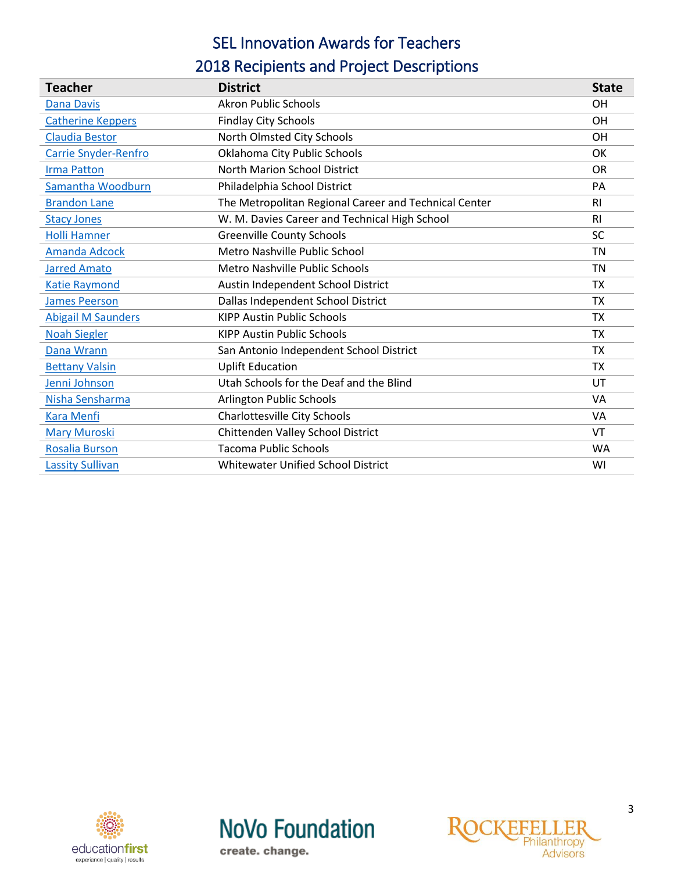# SEL Innovation Awards for Teachers

# 2018 Recipients and Project Descriptions

| <b>Teacher</b>            | <b>District</b>                                       | <b>State</b>   |
|---------------------------|-------------------------------------------------------|----------------|
| <b>Dana Davis</b>         | <b>Akron Public Schools</b>                           | <b>OH</b>      |
| <b>Catherine Keppers</b>  | <b>Findlay City Schools</b>                           | <b>OH</b>      |
| <b>Claudia Bestor</b>     | North Olmsted City Schools                            | <b>OH</b>      |
| Carrie Snyder-Renfro      | Oklahoma City Public Schools                          | OK             |
| <b>Irma Patton</b>        | North Marion School District                          | <b>OR</b>      |
| Samantha Woodburn         | Philadelphia School District                          | <b>PA</b>      |
| <b>Brandon Lane</b>       | The Metropolitan Regional Career and Technical Center | R <sub>l</sub> |
| <b>Stacy Jones</b>        | W. M. Davies Career and Technical High School         | R <sub>1</sub> |
| <b>Holli Hamner</b>       | <b>Greenville County Schools</b>                      | <b>SC</b>      |
| <b>Amanda Adcock</b>      | Metro Nashville Public School                         | <b>TN</b>      |
| <b>Jarred Amato</b>       | Metro Nashville Public Schools                        | <b>TN</b>      |
| <b>Katie Raymond</b>      | Austin Independent School District                    | <b>TX</b>      |
| <b>James Peerson</b>      | Dallas Independent School District                    | <b>TX</b>      |
| <b>Abigail M Saunders</b> | <b>KIPP Austin Public Schools</b>                     | <b>TX</b>      |
| <b>Noah Siegler</b>       | <b>KIPP Austin Public Schools</b>                     | <b>TX</b>      |
| Dana Wrann                | San Antonio Independent School District               | <b>TX</b>      |
| <b>Bettany Valsin</b>     | <b>Uplift Education</b>                               | <b>TX</b>      |
| Jenni Johnson             | Utah Schools for the Deaf and the Blind               | UT             |
| Nisha Sensharma           | Arlington Public Schools                              | VA             |
| <b>Kara Menfi</b>         | Charlottesville City Schools                          | VA             |
| <b>Mary Muroski</b>       | Chittenden Valley School District                     | VT             |
| <b>Rosalia Burson</b>     | <b>Tacoma Public Schools</b>                          | <b>WA</b>      |
| <b>Lassity Sullivan</b>   | Whitewater Unified School District                    | WI             |





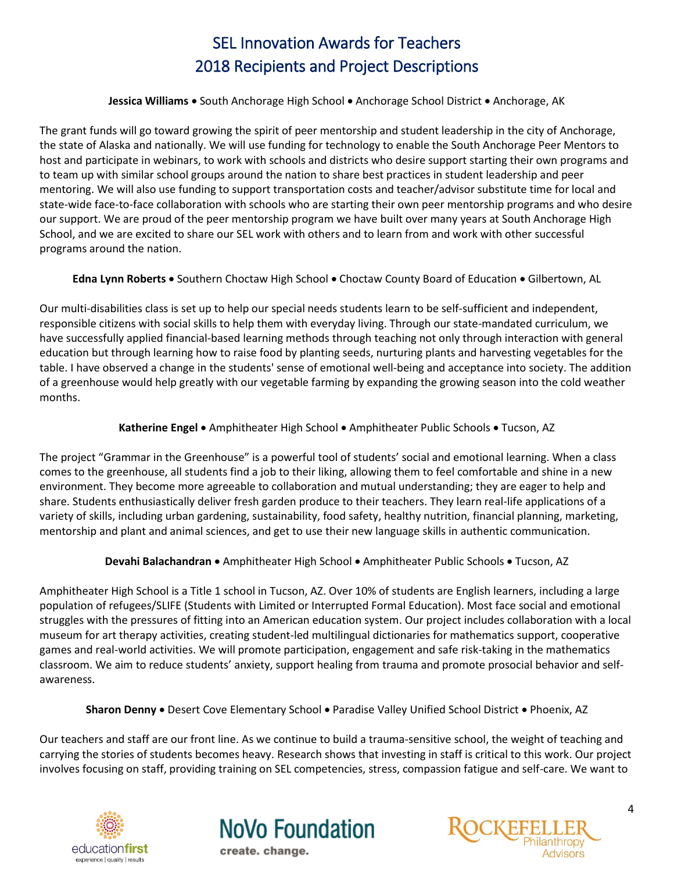#### **Jessica Williams .** South Anchorage High School . Anchorage School District . Anchorage, AK

<span id="page-3-0"></span>The grant funds will go toward growing the spirit of peer mentorship and student leadership in the city of Anchorage, the state of Alaska and nationally. We will use funding for technology to enable the South Anchorage Peer Mentors to host and participate in webinars, to work with schools and districts who desire support starting their own programs and to team up with similar school groups around the nation to share best practices in student leadership and peer mentoring. We will also use funding to support transportation costs and teacher/advisor substitute time for local and state-wide face-to-face collaboration with schools who are starting their own peer mentorship programs and who desire our support. We are proud of the peer mentorship program we have built over many years at South Anchorage High School, and we are excited to share our SEL work with others and to learn from and work with other successful programs around the nation.

Edna Lynn Roberts . Southern Choctaw High School . Choctaw County Board of Education . Gilbertown, AL

<span id="page-3-1"></span>Our multi-disabilities class is set up to help our special needs students learn to be self-sufficient and independent, responsible citizens with social skills to help them with everyday living. Through our state-mandated curriculum, we have successfully applied financial-based learning methods through teaching not only through interaction with general education but through learning how to raise food by planting seeds, nurturing plants and harvesting vegetables for the table. I have observed a change in the students' sense of emotional well-being and acceptance into society. The addition of a greenhouse would help greatly with our vegetable farming by expanding the growing season into the cold weather months.

# Katherine Engel • Amphitheater High School • Amphitheater Public Schools • Tucson, AZ

<span id="page-3-2"></span>The project "Grammar in the Greenhouse" is a powerful tool of students' social and emotional learning. When a class comes to the greenhouse, all students find a job to their liking, allowing them to feel comfortable and shine in a new environment. They become more agreeable to collaboration and mutual understanding; they are eager to help and share. Students enthusiastically deliver fresh garden produce to their teachers. They learn real-life applications of a variety of skills, including urban gardening, sustainability, food safety, healthy nutrition, financial planning, marketing, mentorship and plant and animal sciences, and get to use their new language skills in authentic communication.

**Devahi Balachandran •** Amphitheater High School • Amphitheater Public Schools • Tucson, AZ

<span id="page-3-3"></span>Amphitheater High School is a Title 1 school in Tucson, AZ. Over 10% of students are English learners, including a large population of refugees/SLIFE (Students with Limited or Interrupted Formal Education). Most face social and emotional struggles with the pressures of fitting into an American education system. Our project includes collaboration with a local museum for art therapy activities, creating student-led multilingual dictionaries for mathematics support, cooperative games and real-world activities. We will promote participation, engagement and safe risk-taking in the mathematics classroom. We aim to reduce students' anxiety, support healing from trauma and promote prosocial behavior and selfawareness.

Sharon Denny . Desert Cove Elementary School . Paradise Valley Unified School District . Phoenix, AZ

<span id="page-3-4"></span>Our teachers and staff are our front line. As we continue to build a trauma-sensitive school, the weight of teaching and carrying the stories of students becomes heavy. Research shows that investing in staff is critical to this work. Our project involves focusing on staff, providing training on SEL competencies, stress, compassion fatigue and self-care. We want to





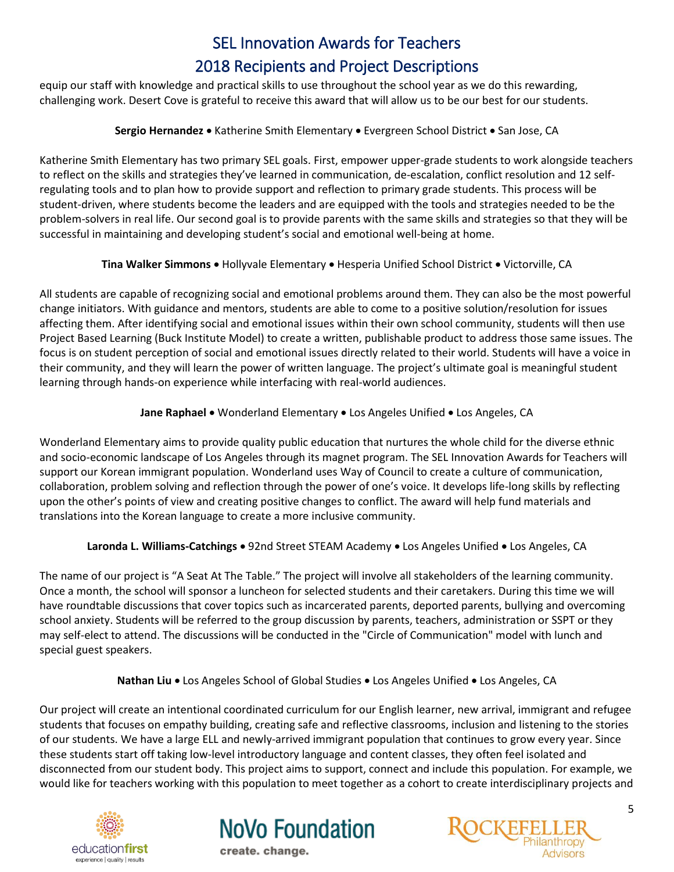equip our staff with knowledge and practical skills to use throughout the school year as we do this rewarding, challenging work. Desert Cove is grateful to receive this award that will allow us to be our best for our students.

# **Sergio Hernandez** • Katherine Smith Elementary • Evergreen School District • San Jose, CA

<span id="page-4-0"></span>Katherine Smith Elementary has two primary SEL goals. First, empower upper-grade students to work alongside teachers to reflect on the skills and strategies they've learned in communication, de-escalation, conflict resolution and 12 selfregulating tools and to plan how to provide support and reflection to primary grade students. This process will be student-driven, where students become the leaders and are equipped with the tools and strategies needed to be the problem-solvers in real life. Our second goal is to provide parents with the same skills and strategies so that they will be successful in maintaining and developing student's social and emotional well-being at home.

# **Tina Walker Simmons .** Hollyvale Elementary . Hesperia Unified School District . Victorville, CA

<span id="page-4-1"></span>All students are capable of recognizing social and emotional problems around them. They can also be the most powerful change initiators. With guidance and mentors, students are able to come to a positive solution/resolution for issues affecting them. After identifying social and emotional issues within their own school community, students will then use Project Based Learning (Buck Institute Model) to create a written, publishable product to address those same issues. The focus is on student perception of social and emotional issues directly related to their world. Students will have a voice in their community, and they will learn the power of written language. The project's ultimate goal is meaningful student learning through hands-on experience while interfacing with real-world audiences.

# Jane Raphael . Wonderland Elementary . Los Angeles Unified . Los Angeles, CA

<span id="page-4-2"></span>Wonderland Elementary aims to provide quality public education that nurtures the whole child for the diverse ethnic and socio-economic landscape of Los Angeles through its magnet program. The SEL Innovation Awards for Teachers will support our Korean immigrant population. Wonderland uses Way of Council to create a culture of communication, collaboration, problem solving and reflection through the power of one's voice. It develops life-long skills by reflecting upon the other's points of view and creating positive changes to conflict. The award will help fund materials and translations into the Korean language to create a more inclusive community.

# Laronda L. Williams-Catchings . 92nd Street STEAM Academy . Los Angeles Unified . Los Angeles, CA

<span id="page-4-3"></span>The name of our project is "A Seat At The Table." The project will involve all stakeholders of the learning community. Once a month, the school will sponsor a luncheon for selected students and their caretakers. During this time we will have roundtable discussions that cover topics such as incarcerated parents, deported parents, bullying and overcoming school anxiety. Students will be referred to the group discussion by parents, teachers, administration or SSPT or they may self-elect to attend. The discussions will be conducted in the "Circle of Communication" model with lunch and special guest speakers.

# Nathan Liu . Los Angeles School of Global Studies . Los Angeles Unified . Los Angeles, CA

<span id="page-4-4"></span>Our project will create an intentional coordinated curriculum for our English learner, new arrival, immigrant and refugee students that focuses on empathy building, creating safe and reflective classrooms, inclusion and listening to the stories of our students. We have a large ELL and newly-arrived immigrant population that continues to grow every year. Since these students start off taking low-level introductory language and content classes, they often feel isolated and disconnected from our student body. This project aims to support, connect and include this population. For example, we would like for teachers working with this population to meet together as a cohort to create interdisciplinary projects and





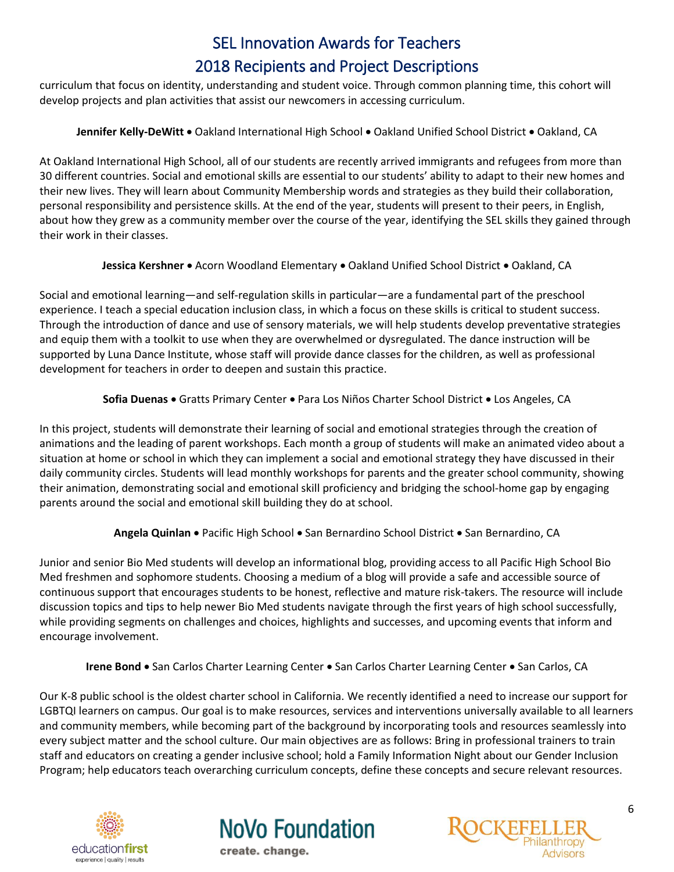curriculum that focus on identity, understanding and student voice. Through common planning time, this cohort will develop projects and plan activities that assist our newcomers in accessing curriculum.

# Jennifer Kelly-DeWitt . Oakland International High School . Oakland Unified School District . Oakland, CA

<span id="page-5-0"></span>At Oakland International High School, all of our students are recently arrived immigrants and refugees from more than 30 different countries. Social and emotional skills are essential to our students' ability to adapt to their new homes and their new lives. They will learn about Community Membership words and strategies as they build their collaboration, personal responsibility and persistence skills. At the end of the year, students will present to their peers, in English, about how they grew as a community member over the course of the year, identifying the SEL skills they gained through their work in their classes.

# Jessica Kershner . Acorn Woodland Elementary . Oakland Unified School District . Oakland, CA

<span id="page-5-1"></span>Social and emotional learning—and self-regulation skills in particular—are a fundamental part of the preschool experience. I teach a special education inclusion class, in which a focus on these skills is critical to student success. Through the introduction of dance and use of sensory materials, we will help students develop preventative strategies and equip them with a toolkit to use when they are overwhelmed or dysregulated. The dance instruction will be supported by Luna Dance Institute, whose staff will provide dance classes for the children, as well as professional development for teachers in order to deepen and sustain this practice.

# **Sofia Duenas** Gratts Primary Center Para Los Niños Charter School District Los Angeles, CA

<span id="page-5-2"></span>In this project, students will demonstrate their learning of social and emotional strategies through the creation of animations and the leading of parent workshops. Each month a group of students will make an animated video about a situation at home or school in which they can implement a social and emotional strategy they have discussed in their daily community circles. Students will lead monthly workshops for parents and the greater school community, showing their animation, demonstrating social and emotional skill proficiency and bridging the school-home gap by engaging parents around the social and emotional skill building they do at school.

# Angela Quinlan • Pacific High School • San Bernardino School District • San Bernardino, CA

<span id="page-5-3"></span>Junior and senior Bio Med students will develop an informational blog, providing access to all Pacific High School Bio Med freshmen and sophomore students. Choosing a medium of a blog will provide a safe and accessible source of continuous support that encourages students to be honest, reflective and mature risk-takers. The resource will include discussion topics and tips to help newer Bio Med students navigate through the first years of high school successfully, while providing segments on challenges and choices, highlights and successes, and upcoming events that inform and encourage involvement.

# Irene Bond . San Carlos Charter Learning Center . San Carlos Charter Learning Center . San Carlos, CA

<span id="page-5-4"></span>Our K-8 public school is the oldest charter school in California. We recently identified a need to increase our support for LGBTQI learners on campus. Our goal is to make resources, services and interventions universally available to all learners and community members, while becoming part of the background by incorporating tools and resources seamlessly into every subject matter and the school culture. Our main objectives are as follows: Bring in professional trainers to train staff and educators on creating a gender inclusive school; hold a Family Information Night about our Gender Inclusion Program; help educators teach overarching curriculum concepts, define these concepts and secure relevant resources.





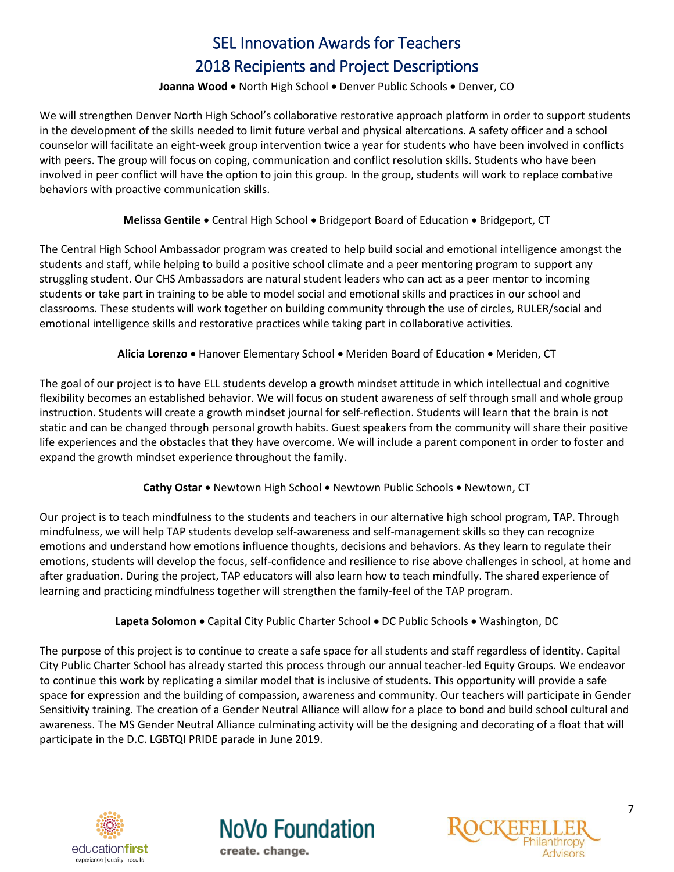#### Joanna Wood . North High School . Denver Public Schools . Denver, CO

<span id="page-6-0"></span>We will strengthen Denver North High School's collaborative restorative approach platform in order to support students in the development of the skills needed to limit future verbal and physical altercations. A safety officer and a school counselor will facilitate an eight-week group intervention twice a year for students who have been involved in conflicts with peers. The group will focus on coping, communication and conflict resolution skills. Students who have been involved in peer conflict will have the option to join this group. In the group, students will work to replace combative behaviors with proactive communication skills.

# **Melissa Gentile •** Central High School • Bridgeport Board of Education • Bridgeport, CT

<span id="page-6-1"></span>The Central High School Ambassador program was created to help build social and emotional intelligence amongst the students and staff, while helping to build a positive school climate and a peer mentoring program to support any struggling student. Our CHS Ambassadors are natural student leaders who can act as a peer mentor to incoming students or take part in training to be able to model social and emotional skills and practices in our school and classrooms. These students will work together on building community through the use of circles, RULER/social and emotional intelligence skills and restorative practices while taking part in collaborative activities.

# **Alicia Lorenzo • Hanover Elementary School • Meriden Board of Education • Meriden, CT**

<span id="page-6-2"></span>The goal of our project is to have ELL students develop a growth mindset attitude in which intellectual and cognitive flexibility becomes an established behavior. We will focus on student awareness of self through small and whole group instruction. Students will create a growth mindset journal for self-reflection. Students will learn that the brain is not static and can be changed through personal growth habits. Guest speakers from the community will share their positive life experiences and the obstacles that they have overcome. We will include a parent component in order to foster and expand the growth mindset experience throughout the family.

# **Cathy Ostar •** Newtown High School • Newtown Public Schools • Newtown, CT

<span id="page-6-3"></span>Our project is to teach mindfulness to the students and teachers in our alternative high school program, TAP. Through mindfulness, we will help TAP students develop self-awareness and self-management skills so they can recognize emotions and understand how emotions influence thoughts, decisions and behaviors. As they learn to regulate their emotions, students will develop the focus, self-confidence and resilience to rise above challenges in school, at home and after graduation. During the project, TAP educators will also learn how to teach mindfully. The shared experience of learning and practicing mindfulness together will strengthen the family-feel of the TAP program.

# Lapeta Solomon • Capital City Public Charter School • DC Public Schools • Washington, DC

<span id="page-6-4"></span>The purpose of this project is to continue to create a safe space for all students and staff regardless of identity. Capital City Public Charter School has already started this process through our annual teacher-led Equity Groups. We endeavor to continue this work by replicating a similar model that is inclusive of students. This opportunity will provide a safe space for expression and the building of compassion, awareness and community. Our teachers will participate in Gender Sensitivity training. The creation of a Gender Neutral Alliance will allow for a place to bond and build school cultural and awareness. The MS Gender Neutral Alliance culminating activity will be the designing and decorating of a float that will participate in the D.C. LGBTQI PRIDE parade in June 2019.





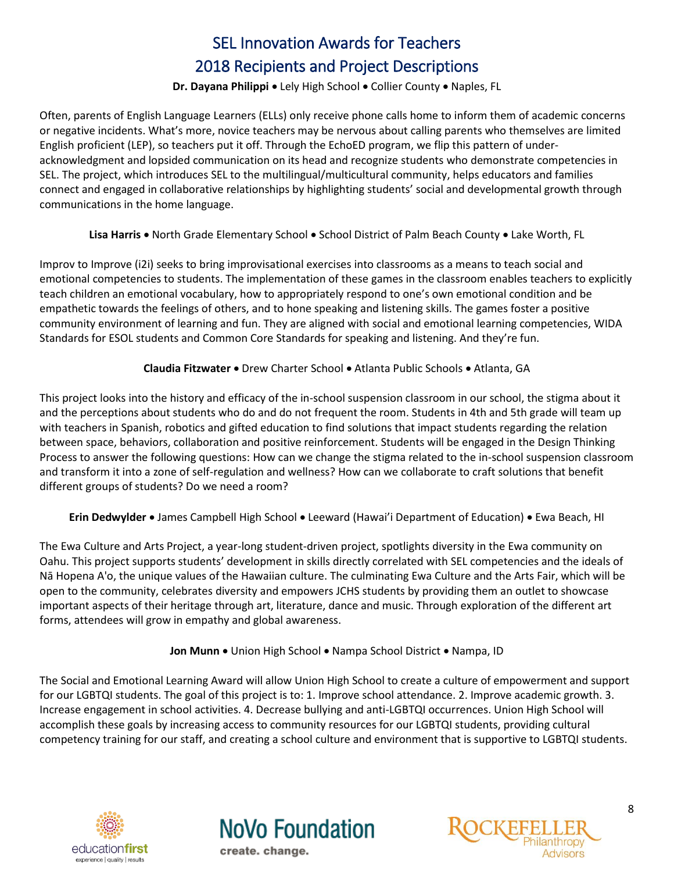## **Dr. Dayana Philippi · Lely High School · Collier County · Naples, FL**

<span id="page-7-0"></span>Often, parents of English Language Learners (ELLs) only receive phone calls home to inform them of academic concerns or negative incidents. What's more, novice teachers may be nervous about calling parents who themselves are limited English proficient (LEP), so teachers put it off. Through the EchoED program, we flip this pattern of underacknowledgment and lopsided communication on its head and recognize students who demonstrate competencies in SEL. The project, which introduces SEL to the multilingual/multicultural community, helps educators and families connect and engaged in collaborative relationships by highlighting students' social and developmental growth through communications in the home language.

Lisa Harris . North Grade Elementary School . School District of Palm Beach County . Lake Worth, FL

<span id="page-7-1"></span>Improv to Improve (i2i) seeks to bring improvisational exercises into classrooms as a means to teach social and emotional competencies to students. The implementation of these games in the classroom enables teachers to explicitly teach children an emotional vocabulary, how to appropriately respond to one's own emotional condition and be empathetic towards the feelings of others, and to hone speaking and listening skills. The games foster a positive community environment of learning and fun. They are aligned with social and emotional learning competencies, WIDA Standards for ESOL students and Common Core Standards for speaking and listening. And they're fun.

# **Claudia Fitzwater** Drew Charter School Atlanta Public Schools Atlanta, GA

<span id="page-7-2"></span>This project looks into the history and efficacy of the in-school suspension classroom in our school, the stigma about it and the perceptions about students who do and do not frequent the room. Students in 4th and 5th grade will team up with teachers in Spanish, robotics and gifted education to find solutions that impact students regarding the relation between space, behaviors, collaboration and positive reinforcement. Students will be engaged in the Design Thinking Process to answer the following questions: How can we change the stigma related to the in-school suspension classroom and transform it into a zone of self-regulation and wellness? How can we collaborate to craft solutions that benefit different groups of students? Do we need a room?

Erin Dedwylder • James Campbell High School • Leeward (Hawai'i Department of Education) • Ewa Beach, HI

<span id="page-7-3"></span>The Ewa Culture and Arts Project, a year-long student-driven project, spotlights diversity in the Ewa community on Oahu. This project supports students' development in skills directly correlated with SEL competencies and the ideals of Nā Hopena A'o, the unique values of the Hawaiian culture. The culminating Ewa Culture and the Arts Fair, which will be open to the community, celebrates diversity and empowers JCHS students by providing them an outlet to showcase important aspects of their heritage through art, literature, dance and music. Through exploration of the different art forms, attendees will grow in empathy and global awareness.

**Jon Munn** • Union High School • Nampa School District • Nampa, ID

<span id="page-7-4"></span>The Social and Emotional Learning Award will allow Union High School to create a culture of empowerment and support for our LGBTQI students. The goal of this project is to: 1. Improve school attendance. 2. Improve academic growth. 3. Increase engagement in school activities. 4. Decrease bullying and anti-LGBTQI occurrences. Union High School will accomplish these goals by increasing access to community resources for our LGBTQI students, providing cultural competency training for our staff, and creating a school culture and environment that is supportive to LGBTQI students.





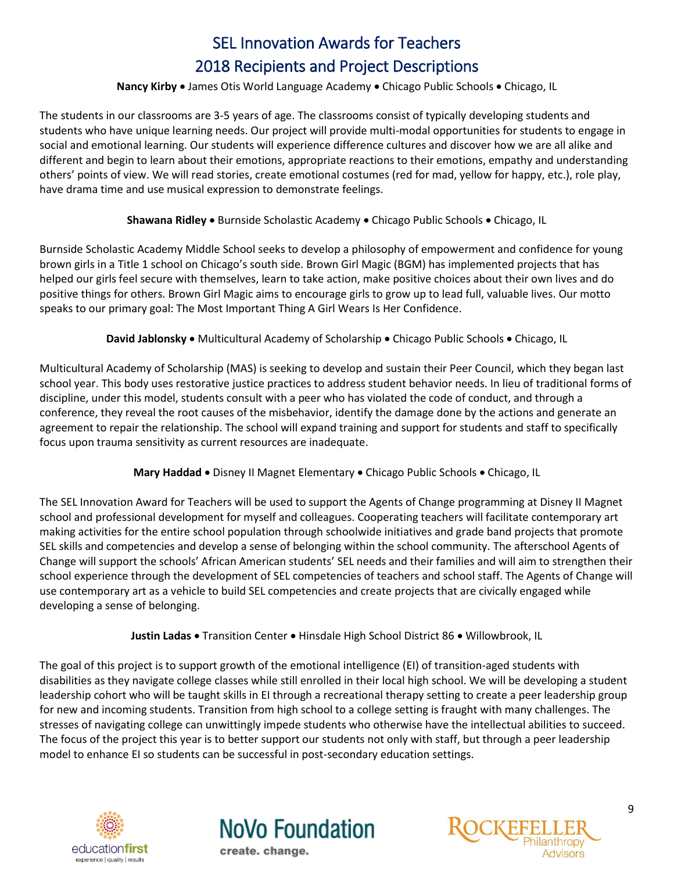#### **Nancy Kirby** • James Otis World Language Academy • Chicago Public Schools • Chicago, IL

<span id="page-8-0"></span>The students in our classrooms are 3-5 years of age. The classrooms consist of typically developing students and students who have unique learning needs. Our project will provide multi-modal opportunities for students to engage in social and emotional learning. Our students will experience difference cultures and discover how we are all alike and different and begin to learn about their emotions, appropriate reactions to their emotions, empathy and understanding others' points of view. We will read stories, create emotional costumes (red for mad, yellow for happy, etc.), role play, have drama time and use musical expression to demonstrate feelings.

# **Shawana Ridley •** Burnside Scholastic Academy • Chicago Public Schools • Chicago, IL

<span id="page-8-1"></span>Burnside Scholastic Academy Middle School seeks to develop a philosophy of empowerment and confidence for young brown girls in a Title 1 school on Chicago's south side. Brown Girl Magic (BGM) has implemented projects that has helped our girls feel secure with themselves, learn to take action, make positive choices about their own lives and do positive things for others. Brown Girl Magic aims to encourage girls to grow up to lead full, valuable lives. Our motto speaks to our primary goal: The Most Important Thing A Girl Wears Is Her Confidence.

David Jablonsky . Multicultural Academy of Scholarship . Chicago Public Schools . Chicago, IL

<span id="page-8-2"></span>Multicultural Academy of Scholarship (MAS) is seeking to develop and sustain their Peer Council, which they began last school year. This body uses restorative justice practices to address student behavior needs. In lieu of traditional forms of discipline, under this model, students consult with a peer who has violated the code of conduct, and through a conference, they reveal the root causes of the misbehavior, identify the damage done by the actions and generate an agreement to repair the relationship. The school will expand training and support for students and staff to specifically focus upon trauma sensitivity as current resources are inadequate.

# **Mary Haddad** . Disney II Magnet Elementary . Chicago Public Schools . Chicago, IL

<span id="page-8-3"></span>The SEL Innovation Award for Teachers will be used to support the Agents of Change programming at Disney II Magnet school and professional development for myself and colleagues. Cooperating teachers will facilitate contemporary art making activities for the entire school population through schoolwide initiatives and grade band projects that promote SEL skills and competencies and develop a sense of belonging within the school community. The afterschool Agents of Change will support the schools' African American students' SEL needs and their families and will aim to strengthen their school experience through the development of SEL competencies of teachers and school staff. The Agents of Change will use contemporary art as a vehicle to build SEL competencies and create projects that are civically engaged while developing a sense of belonging.

Justin Ladas . Transition Center . Hinsdale High School District 86 . Willowbrook, IL

<span id="page-8-4"></span>The goal of this project is to support growth of the emotional intelligence (EI) of transition-aged students with disabilities as they navigate college classes while still enrolled in their local high school. We will be developing a student leadership cohort who will be taught skills in EI through a recreational therapy setting to create a peer leadership group for new and incoming students. Transition from high school to a college setting is fraught with many challenges. The stresses of navigating college can unwittingly impede students who otherwise have the intellectual abilities to succeed. The focus of the project this year is to better support our students not only with staff, but through a peer leadership model to enhance EI so students can be successful in post-secondary education settings.





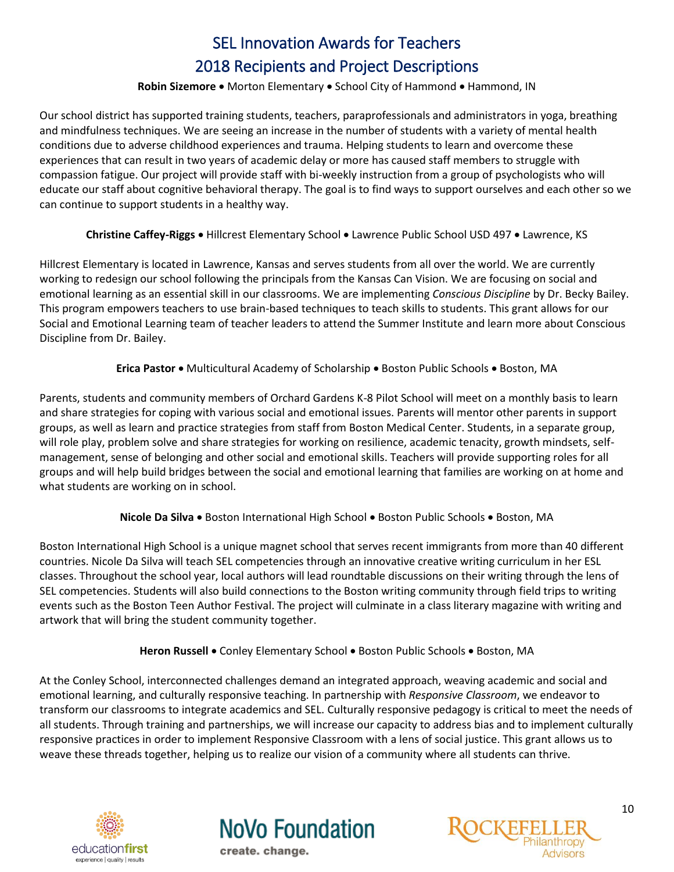#### **Robin Sizemore •** Morton Elementary • School City of Hammond • Hammond, IN

<span id="page-9-0"></span>Our school district has supported training students, teachers, paraprofessionals and administrators in yoga, breathing and mindfulness techniques. We are seeing an increase in the number of students with a variety of mental health conditions due to adverse childhood experiences and trauma. Helping students to learn and overcome these experiences that can result in two years of academic delay or more has caused staff members to struggle with compassion fatigue. Our project will provide staff with bi-weekly instruction from a group of psychologists who will educate our staff about cognitive behavioral therapy. The goal is to find ways to support ourselves and each other so we can continue to support students in a healthy way.

# **Christine Caffey-Riggs** Hillcrest Elementary School Lawrence Public School USD 497 Lawrence, KS

<span id="page-9-1"></span>Hillcrest Elementary is located in Lawrence, Kansas and serves students from all over the world. We are currently working to redesign our school following the principals from the Kansas Can Vision. We are focusing on social and emotional learning as an essential skill in our classrooms. We are implementing *Conscious Discipline* by Dr. Becky Bailey. This program empowers teachers to use brain-based techniques to teach skills to students. This grant allows for our Social and Emotional Learning team of teacher leaders to attend the Summer Institute and learn more about Conscious Discipline from Dr. Bailey.

# **Erica Pastor •** Multicultural Academy of Scholarship • Boston Public Schools • Boston, MA

<span id="page-9-2"></span>Parents, students and community members of Orchard Gardens K-8 Pilot School will meet on a monthly basis to learn and share strategies for coping with various social and emotional issues. Parents will mentor other parents in support groups, as well as learn and practice strategies from staff from Boston Medical Center. Students, in a separate group, will role play, problem solve and share strategies for working on resilience, academic tenacity, growth mindsets, selfmanagement, sense of belonging and other social and emotional skills. Teachers will provide supporting roles for all groups and will help build bridges between the social and emotional learning that families are working on at home and what students are working on in school.

# **Nicole Da Silva •** Boston International High School • Boston Public Schools • Boston, MA

<span id="page-9-3"></span>Boston International High School is a unique magnet school that serves recent immigrants from more than 40 different countries. Nicole Da Silva will teach SEL competencies through an innovative creative writing curriculum in her ESL classes. Throughout the school year, local authors will lead roundtable discussions on their writing through the lens of SEL competencies. Students will also build connections to the Boston writing community through field trips to writing events such as the Boston Teen Author Festival. The project will culminate in a class literary magazine with writing and artwork that will bring the student community together.

# **Heron Russell •** Conley Elementary School • Boston Public Schools • Boston, MA

<span id="page-9-4"></span>At the Conley School, interconnected challenges demand an integrated approach, weaving academic and social and emotional learning, and culturally responsive teaching. In partnership with *Responsive Classroom*, we endeavor to transform our classrooms to integrate academics and SEL. Culturally responsive pedagogy is critical to meet the needs of all students. Through training and partnerships, we will increase our capacity to address bias and to implement culturally responsive practices in order to implement Responsive Classroom with a lens of social justice. This grant allows us to weave these threads together, helping us to realize our vision of a community where all students can thrive.





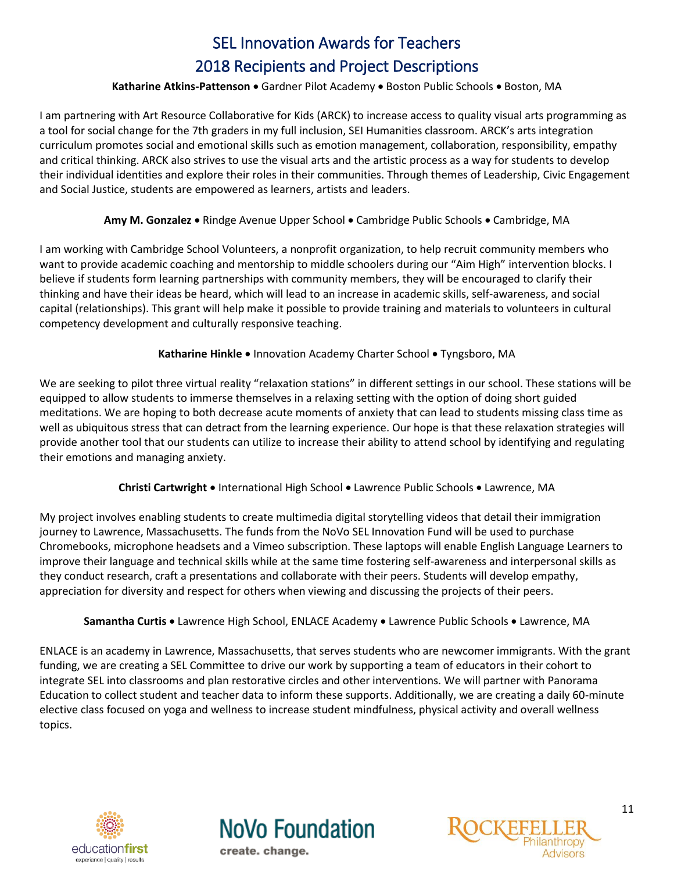## Katharine Atkins-Pattenson . Gardner Pilot Academy . Boston Public Schools . Boston, MA

<span id="page-10-0"></span>I am partnering with Art Resource Collaborative for Kids (ARCK) to increase access to quality visual arts programming as a tool for social change for the 7th graders in my full inclusion, SEI Humanities classroom. ARCK's arts integration curriculum promotes social and emotional skills such as emotion management, collaboration, responsibility, empathy and critical thinking. ARCK also strives to use the visual arts and the artistic process as a way for students to develop their individual identities and explore their roles in their communities. Through themes of Leadership, Civic Engagement and Social Justice, students are empowered as learners, artists and leaders.

# **Amy M. Gonzalez** • Rindge Avenue Upper School • Cambridge Public Schools • Cambridge, MA

<span id="page-10-1"></span>I am working with Cambridge School Volunteers, a nonprofit organization, to help recruit community members who want to provide academic coaching and mentorship to middle schoolers during our "Aim High" intervention blocks. I believe if students form learning partnerships with community members, they will be encouraged to clarify their thinking and have their ideas be heard, which will lead to an increase in academic skills, self-awareness, and social capital (relationships). This grant will help make it possible to provide training and materials to volunteers in cultural competency development and culturally responsive teaching.

# **Katharine Hinkle • Innovation Academy Charter School • Tyngsboro, MA**

<span id="page-10-2"></span>We are seeking to pilot three virtual reality "relaxation stations" in different settings in our school. These stations will be equipped to allow students to immerse themselves in a relaxing setting with the option of doing short guided meditations. We are hoping to both decrease acute moments of anxiety that can lead to students missing class time as well as ubiquitous stress that can detract from the learning experience. Our hope is that these relaxation strategies will provide another tool that our students can utilize to increase their ability to attend school by identifying and regulating their emotions and managing anxiety.

# **Christi Cartwright •** International High School • Lawrence Public Schools • Lawrence, MA

<span id="page-10-3"></span>My project involves enabling students to create multimedia digital storytelling videos that detail their immigration journey to Lawrence, Massachusetts. The funds from the NoVo SEL Innovation Fund will be used to purchase Chromebooks, microphone headsets and a Vimeo subscription. These laptops will enable English Language Learners to improve their language and technical skills while at the same time fostering self-awareness and interpersonal skills as they conduct research, craft a presentations and collaborate with their peers. Students will develop empathy, appreciation for diversity and respect for others when viewing and discussing the projects of their peers.

#### **Samantha Curtis** Lawrence High School, ENLACE Academy Lawrence Public Schools Lawrence, MA

<span id="page-10-4"></span>ENLACE is an academy in Lawrence, Massachusetts, that serves students who are newcomer immigrants. With the grant funding, we are creating a SEL Committee to drive our work by supporting a team of educators in their cohort to integrate SEL into classrooms and plan restorative circles and other interventions. We will partner with Panorama Education to collect student and teacher data to inform these supports. Additionally, we are creating a daily 60-minute elective class focused on yoga and wellness to increase student mindfulness, physical activity and overall wellness topics.





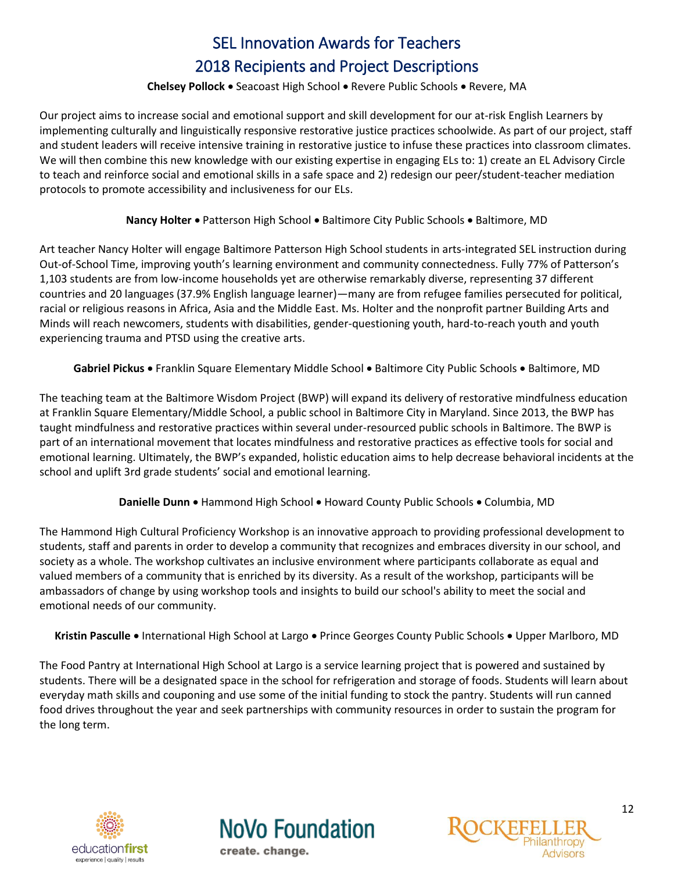## **Chelsey Pollock ·** Seacoast High School · Revere Public Schools · Revere, MA

<span id="page-11-0"></span>Our project aims to increase social and emotional support and skill development for our at-risk English Learners by implementing culturally and linguistically responsive restorative justice practices schoolwide. As part of our project, staff and student leaders will receive intensive training in restorative justice to infuse these practices into classroom climates. We will then combine this new knowledge with our existing expertise in engaging ELs to: 1) create an EL Advisory Circle to teach and reinforce social and emotional skills in a safe space and 2) redesign our peer/student-teacher mediation protocols to promote accessibility and inclusiveness for our ELs.

#### **Nancy Holter •** Patterson High School • Baltimore City Public Schools • Baltimore, MD

<span id="page-11-1"></span>Art teacher Nancy Holter will engage Baltimore Patterson High School students in arts-integrated SEL instruction during Out-of-School Time, improving youth's learning environment and community connectedness. Fully 77% of Patterson's 1,103 students are from low-income households yet are otherwise remarkably diverse, representing 37 different countries and 20 languages (37.9% English language learner)—many are from refugee families persecuted for political, racial or religious reasons in Africa, Asia and the Middle East. Ms. Holter and the nonprofit partner Building Arts and Minds will reach newcomers, students with disabilities, gender-questioning youth, hard-to-reach youth and youth experiencing trauma and PTSD using the creative arts.

Gabriel Pickus . Franklin Square Elementary Middle School . Baltimore City Public Schools . Baltimore, MD

<span id="page-11-2"></span>The teaching team at the Baltimore Wisdom Project (BWP) will expand its delivery of restorative mindfulness education at Franklin Square Elementary/Middle School, a public school in Baltimore City in Maryland. Since 2013, the BWP has taught mindfulness and restorative practices within several under-resourced public schools in Baltimore. The BWP is part of an international movement that locates mindfulness and restorative practices as effective tools for social and emotional learning. Ultimately, the BWP's expanded, holistic education aims to help decrease behavioral incidents at the school and uplift 3rd grade students' social and emotional learning.

Danielle Dunn . Hammond High School . Howard County Public Schools . Columbia, MD

<span id="page-11-3"></span>The Hammond High Cultural Proficiency Workshop is an innovative approach to providing professional development to students, staff and parents in order to develop a community that recognizes and embraces diversity in our school, and society as a whole. The workshop cultivates an inclusive environment where participants collaborate as equal and valued members of a community that is enriched by its diversity. As a result of the workshop, participants will be ambassadors of change by using workshop tools and insights to build our school's ability to meet the social and emotional needs of our community.

<span id="page-11-4"></span>Kristin Pasculle . International High School at Largo . Prince Georges County Public Schools . Upper Marlboro, MD

The Food Pantry at International High School at Largo is a service learning project that is powered and sustained by students. There will be a designated space in the school for refrigeration and storage of foods. Students will learn about everyday math skills and couponing and use some of the initial funding to stock the pantry. Students will run canned food drives throughout the year and seek partnerships with community resources in order to sustain the program for the long term.

<span id="page-11-5"></span>



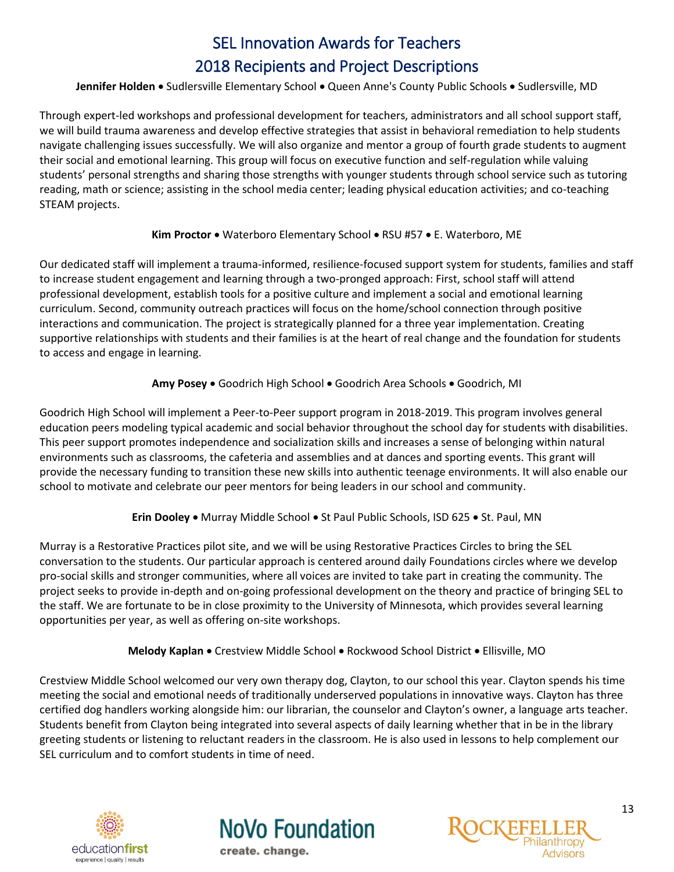# Jennifer Holden . Sudlersville Elementary School . Queen Anne's County Public Schools . Sudlersville, MD

Through expert-led workshops and professional development for teachers, administrators and all school support staff, we will build trauma awareness and develop effective strategies that assist in behavioral remediation to help students navigate challenging issues successfully. We will also organize and mentor a group of fourth grade students to augment their social and emotional learning. This group will focus on executive function and self-regulation while valuing students' personal strengths and sharing those strengths with younger students through school service such as tutoring reading, math or science; assisting in the school media center; leading physical education activities; and co-teaching STEAM projects.

# Kim Proctor . Waterboro Elementary School . RSU #57 . E. Waterboro, ME

<span id="page-12-0"></span>Our dedicated staff will implement a trauma-informed, resilience-focused support system for students, families and staff to increase student engagement and learning through a two-pronged approach: First, school staff will attend professional development, establish tools for a positive culture and implement a social and emotional learning curriculum. Second, community outreach practices will focus on the home/school connection through positive interactions and communication. The project is strategically planned for a three year implementation. Creating supportive relationships with students and their families is at the heart of real change and the foundation for students to access and engage in learning.

# **Amy Posey •** Goodrich High School • Goodrich Area Schools • Goodrich, MI

<span id="page-12-1"></span>Goodrich High School will implement a Peer-to-Peer support program in 2018-2019. This program involves general education peers modeling typical academic and social behavior throughout the school day for students with disabilities. This peer support promotes independence and socialization skills and increases a sense of belonging within natural environments such as classrooms, the cafeteria and assemblies and at dances and sporting events. This grant will provide the necessary funding to transition these new skills into authentic teenage environments. It will also enable our school to motivate and celebrate our peer mentors for being leaders in our school and community.

# **Erin Dooley •** Murray Middle School • St Paul Public Schools, ISD 625 • St. Paul, MN

<span id="page-12-2"></span>Murray is a Restorative Practices pilot site, and we will be using Restorative Practices Circles to bring the SEL conversation to the students. Our particular approach is centered around daily Foundations circles where we develop pro-social skills and stronger communities, where all voices are invited to take part in creating the community. The project seeks to provide in-depth and on-going professional development on the theory and practice of bringing SEL to the staff. We are fortunate to be in close proximity to the University of Minnesota, which provides several learning opportunities per year, as well as offering on-site workshops.

# **Melody Kaplan •** Crestview Middle School • Rockwood School District • Ellisville, MO

<span id="page-12-3"></span>Crestview Middle School welcomed our very own therapy dog, Clayton, to our school this year. Clayton spends his time meeting the social and emotional needs of traditionally underserved populations in innovative ways. Clayton has three certified dog handlers working alongside him: our librarian, the counselor and Clayton's owner, a language arts teacher. Students benefit from Clayton being integrated into several aspects of daily learning whether that in be in the library greeting students or listening to reluctant readers in the classroom. He is also used in lessons to help complement our SEL curriculum and to comfort students in time of need.

<span id="page-12-4"></span>



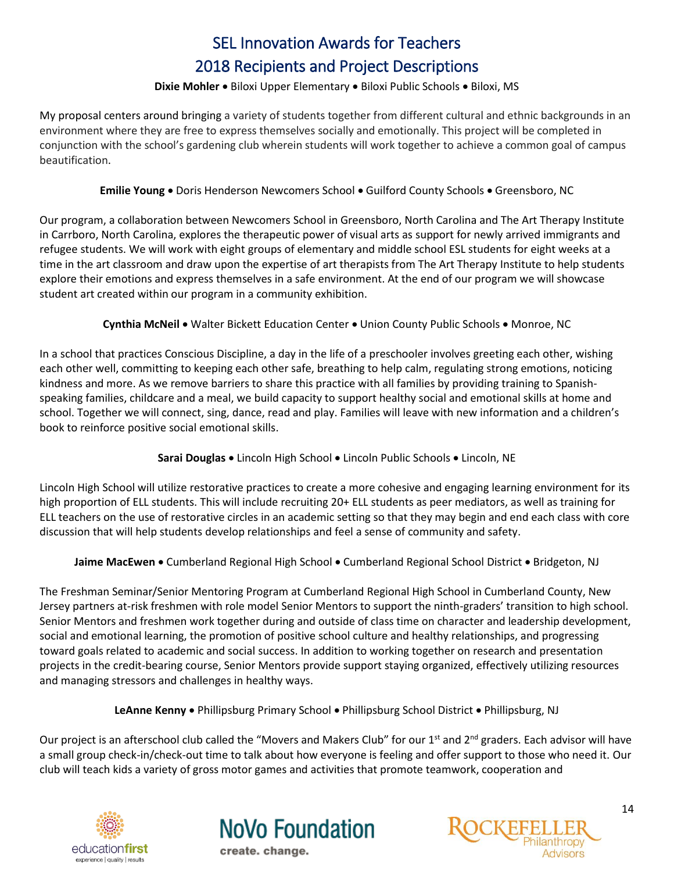# Dixie Mohler · Biloxi Upper Elementary · Biloxi Public Schools · Biloxi, MS

My proposal centers around bringing a variety of students together from different cultural and ethnic backgrounds in an environment where they are free to express themselves socially and emotionally. This project will be completed in conjunction with the school's gardening club wherein students will work together to achieve a common goal of campus beautification.

# **Emilie Young .** Doris Henderson Newcomers School . Guilford County Schools . Greensboro, NC

<span id="page-13-0"></span>Our program, a collaboration between Newcomers School in Greensboro, North Carolina and The Art Therapy Institute in Carrboro, North Carolina, explores the therapeutic power of visual arts as support for newly arrived immigrants and refugee students. We will work with eight groups of elementary and middle school ESL students for eight weeks at a time in the art classroom and draw upon the expertise of art therapists from The Art Therapy Institute to help students explore their emotions and express themselves in a safe environment. At the end of our program we will showcase student art created within our program in a community exhibition.

**Cynthia McNeil •** Walter Bickett Education Center • Union County Public Schools • Monroe, NC

<span id="page-13-1"></span>In a school that practices Conscious Discipline, a day in the life of a preschooler involves greeting each other, wishing each other well, committing to keeping each other safe, breathing to help calm, regulating strong emotions, noticing kindness and more. As we remove barriers to share this practice with all families by providing training to Spanishspeaking families, childcare and a meal, we build capacity to support healthy social and emotional skills at home and school. Together we will connect, sing, dance, read and play. Families will leave with new information and a children's book to reinforce positive social emotional skills.

# **Sarai Douglas •** Lincoln High School • Lincoln Public Schools • Lincoln, NE

<span id="page-13-2"></span>Lincoln High School will utilize restorative practices to create a more cohesive and engaging learning environment for its high proportion of ELL students. This will include recruiting 20+ ELL students as peer mediators, as well as training for ELL teachers on the use of restorative circles in an academic setting so that they may begin and end each class with core discussion that will help students develop relationships and feel a sense of community and safety.

Jaime MacEwen • Cumberland Regional High School • Cumberland Regional School District • Bridgeton, NJ

<span id="page-13-3"></span>The Freshman Seminar/Senior Mentoring Program at Cumberland Regional High School in Cumberland County, New Jersey partners at-risk freshmen with role model Senior Mentors to support the ninth-graders' transition to high school. Senior Mentors and freshmen work together during and outside of class time on character and leadership development, social and emotional learning, the promotion of positive school culture and healthy relationships, and progressing toward goals related to academic and social success. In addition to working together on research and presentation projects in the credit-bearing course, Senior Mentors provide support staying organized, effectively utilizing resources and managing stressors and challenges in healthy ways.

**LeAnne Kenny** Phillipsburg Primary School Phillipsburg School District Phillipsburg, NJ

<span id="page-13-4"></span>Our project is an afterschool club called the "Movers and Makers Club" for our  $1<sup>st</sup>$  and  $2<sup>nd</sup>$  graders. Each advisor will have a small group check-in/check-out time to talk about how everyone is feeling and offer support to those who need it. Our club will teach kids a variety of gross motor games and activities that promote teamwork, cooperation and





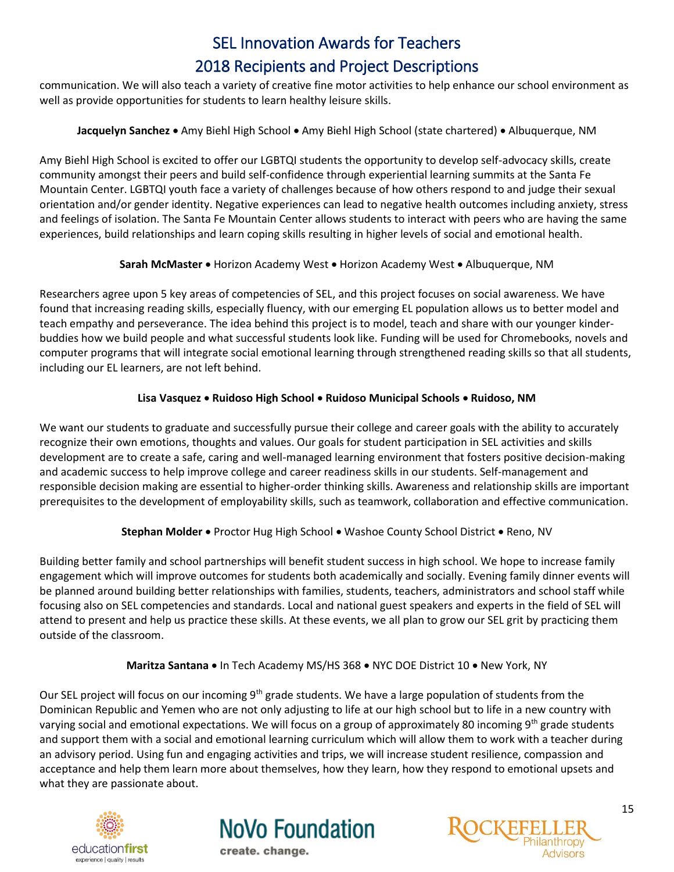communication. We will also teach a variety of creative fine motor activities to help enhance our school environment as well as provide opportunities for students to learn healthy leisure skills.

# **Jacquelyn Sanchez** • Amy Biehl High School • Amy Biehl High School (state chartered) • Albuquerque, NM

<span id="page-14-0"></span>Amy Biehl High School is excited to offer our LGBTQI students the opportunity to develop self-advocacy skills, create community amongst their peers and build self-confidence through experiential learning summits at the Santa Fe Mountain Center. LGBTQI youth face a variety of challenges because of how others respond to and judge their sexual orientation and/or gender identity. Negative experiences can lead to negative health outcomes including anxiety, stress and feelings of isolation. The Santa Fe Mountain Center allows students to interact with peers who are having the same experiences, build relationships and learn coping skills resulting in higher levels of social and emotional health.

# **Sarah McMaster • Horizon Academy West • Horizon Academy West • Albuquerque, NM**

<span id="page-14-1"></span>Researchers agree upon 5 key areas of competencies of SEL, and this project focuses on social awareness. We have found that increasing reading skills, especially fluency, with our emerging EL population allows us to better model and teach empathy and perseverance. The idea behind this project is to model, teach and share with our younger kinderbuddies how we build people and what successful students look like. Funding will be used for Chromebooks, novels and computer programs that will integrate social emotional learning through strengthened reading skills so that all students, including our EL learners, are not left behind.

# **Lisa Vasquez Ruidoso High School Ruidoso Municipal Schools Ruidoso, NM**

<span id="page-14-2"></span>We want our students to graduate and successfully pursue their college and career goals with the ability to accurately recognize their own emotions, thoughts and values. Our goals for student participation in SEL activities and skills development are to create a safe, caring and well-managed learning environment that fosters positive decision-making and academic success to help improve college and career readiness skills in our students. Self-management and responsible decision making are essential to higher-order thinking skills. Awareness and relationship skills are important prerequisites to the development of employability skills, such as teamwork, collaboration and effective communication.

# **Stephan Molder •** Proctor Hug High School • Washoe County School District • Reno, NV

<span id="page-14-3"></span>Building better family and school partnerships will benefit student success in high school. We hope to increase family engagement which will improve outcomes for students both academically and socially. Evening family dinner events will be planned around building better relationships with families, students, teachers, administrators and school staff while focusing also on SEL competencies and standards. Local and national guest speakers and experts in the field of SEL will attend to present and help us practice these skills. At these events, we all plan to grow our SEL grit by practicing them outside of the classroom.

# **Maritza Santana** • In Tech Academy MS/HS 368 • NYC DOE District 10 • New York, NY

<span id="page-14-4"></span>Our SEL project will focus on our incoming 9<sup>th</sup> grade students. We have a large population of students from the Dominican Republic and Yemen who are not only adjusting to life at our high school but to life in a new country with varying social and emotional expectations. We will focus on a group of approximately 80 incoming  $9<sup>th</sup>$  grade students and support them with a social and emotional learning curriculum which will allow them to work with a teacher during an advisory period. Using fun and engaging activities and trips, we will increase student resilience, compassion and acceptance and help them learn more about themselves, how they learn, how they respond to emotional upsets and what they are passionate about.





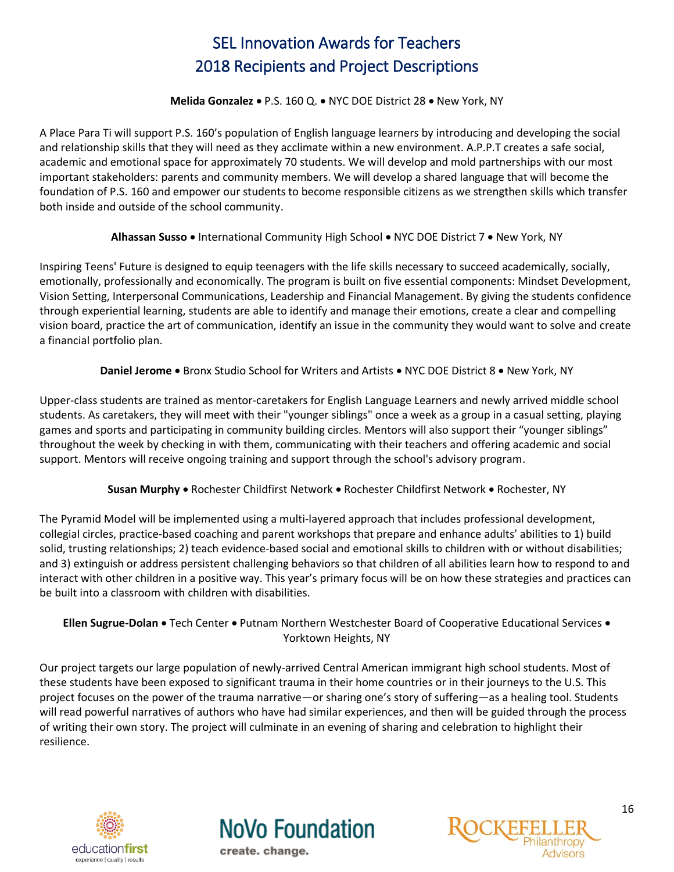#### **Melida Gonzalez • P.S. 160 Q. • NYC DOE District 28 • New York, NY**

<span id="page-15-0"></span>A Place Para Ti will support P.S. 160's population of English language learners by introducing and developing the social and relationship skills that they will need as they acclimate within a new environment. A.P.P.T creates a safe social, academic and emotional space for approximately 70 students. We will develop and mold partnerships with our most important stakeholders: parents and community members. We will develop a shared language that will become the foundation of P.S. 160 and empower our students to become responsible citizens as we strengthen skills which transfer both inside and outside of the school community.

# **Alhassan Susso •** International Community High School • NYC DOE District 7 • New York, NY

<span id="page-15-1"></span>Inspiring Teens' Future is designed to equip teenagers with the life skills necessary to succeed academically, socially, emotionally, professionally and economically. The program is built on five essential components: Mindset Development, Vision Setting, Interpersonal Communications, Leadership and Financial Management. By giving the students confidence through experiential learning, students are able to identify and manage their emotions, create a clear and compelling vision board, practice the art of communication, identify an issue in the community they would want to solve and create a financial portfolio plan.

#### **Daniel Jerome •** Bronx Studio School for Writers and Artists • NYC DOE District 8 • New York, NY

<span id="page-15-2"></span>Upper-class students are trained as mentor-caretakers for English Language Learners and newly arrived middle school students. As caretakers, they will meet with their "younger siblings" once a week as a group in a casual setting, playing games and sports and participating in community building circles. Mentors will also support their "younger siblings" throughout the week by checking in with them, communicating with their teachers and offering academic and social support. Mentors will receive ongoing training and support through the school's advisory program.

# Susan Murphy . Rochester Childfirst Network . Rochester Childfirst Network . Rochester, NY

<span id="page-15-3"></span>The Pyramid Model will be implemented using a multi-layered approach that includes professional development, collegial circles, practice-based coaching and parent workshops that prepare and enhance adults' abilities to 1) build solid, trusting relationships; 2) teach evidence-based social and emotional skills to children with or without disabilities; and 3) extinguish or address persistent challenging behaviors so that children of all abilities learn how to respond to and interact with other children in a positive way. This year's primary focus will be on how these strategies and practices can be built into a classroom with children with disabilities.

# <span id="page-15-4"></span>Ellen Sugrue-Dolan . Tech Center . Putnam Northern Westchester Board of Cooperative Educational Services . Yorktown Heights, NY

Our project targets our large population of newly-arrived Central American immigrant high school students. Most of these students have been exposed to significant trauma in their home countries or in their journeys to the U.S. This project focuses on the power of the trauma narrative—or sharing one's story of suffering—as a healing tool. Students will read powerful narratives of authors who have had similar experiences, and then will be guided through the process of writing their own story. The project will culminate in an evening of sharing and celebration to highlight their resilience.

<span id="page-15-5"></span>



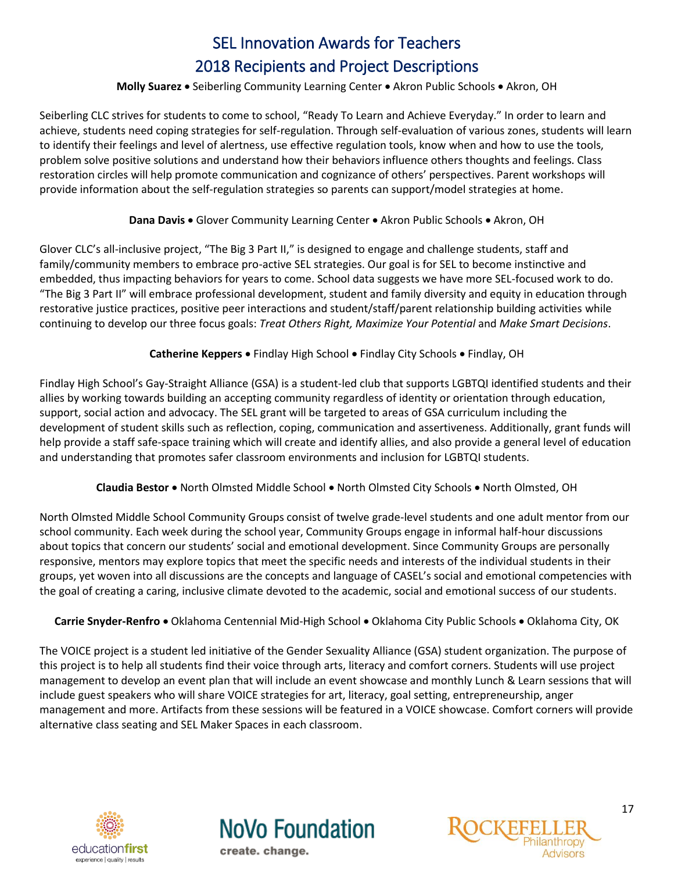#### **Molly Suarez •** Seiberling Community Learning Center • Akron Public Schools • Akron, OH

Seiberling CLC strives for students to come to school, "Ready To Learn and Achieve Everyday." In order to learn and achieve, students need coping strategies for self-regulation. Through self-evaluation of various zones, students will learn to identify their feelings and level of alertness, use effective regulation tools, know when and how to use the tools, problem solve positive solutions and understand how their behaviors influence others thoughts and feelings. Class restoration circles will help promote communication and cognizance of others' perspectives. Parent workshops will provide information about the self-regulation strategies so parents can support/model strategies at home.

## **Dana Davis • Glover Community Learning Center • Akron Public Schools • Akron, OH**

<span id="page-16-0"></span>Glover CLC's all-inclusive project, "The Big 3 Part II," is designed to engage and challenge students, staff and family/community members to embrace pro-active SEL strategies. Our goal is for SEL to become instinctive and embedded, thus impacting behaviors for years to come. School data suggests we have more SEL-focused work to do. "The Big 3 Part II" will embrace professional development, student and family diversity and equity in education through restorative justice practices, positive peer interactions and student/staff/parent relationship building activities while continuing to develop our three focus goals: *Treat Others Right, Maximize Your Potential* and *Make Smart Decisions*.

# **Catherine Keppers •** Findlay High School • Findlay City Schools • Findlay, OH

<span id="page-16-1"></span>Findlay High School's Gay-Straight Alliance (GSA) is a student-led club that supports LGBTQI identified students and their allies by working towards building an accepting community regardless of identity or orientation through education, support, social action and advocacy. The SEL grant will be targeted to areas of GSA curriculum including the development of student skills such as reflection, coping, communication and assertiveness. Additionally, grant funds will help provide a staff safe-space training which will create and identify allies, and also provide a general level of education and understanding that promotes safer classroom environments and inclusion for LGBTQI students.

# **Claudia Bestor •** North Olmsted Middle School • North Olmsted City Schools • North Olmsted, OH

<span id="page-16-2"></span>North Olmsted Middle School Community Groups consist of twelve grade-level students and one adult mentor from our school community. Each week during the school year, Community Groups engage in informal half-hour discussions about topics that concern our students' social and emotional development. Since Community Groups are personally responsive, mentors may explore topics that meet the specific needs and interests of the individual students in their groups, yet woven into all discussions are the concepts and language of CASEL's social and emotional competencies with the goal of creating a caring, inclusive climate devoted to the academic, social and emotional success of our students.

# <span id="page-16-3"></span>Carrie Snyder-Renfro • Oklahoma Centennial Mid-High School • Oklahoma City Public Schools • Oklahoma City, OK

The VOICE project is a student led initiative of the Gender Sexuality Alliance (GSA) student organization. The purpose of this project is to help all students find their voice through arts, literacy and comfort corners. Students will use project management to develop an event plan that will include an event showcase and monthly Lunch & Learn sessions that will include guest speakers who will share VOICE strategies for art, literacy, goal setting, entrepreneurship, anger management and more. Artifacts from these sessions will be featured in a VOICE showcase. Comfort corners will provide alternative class seating and SEL Maker Spaces in each classroom.

<span id="page-16-4"></span>



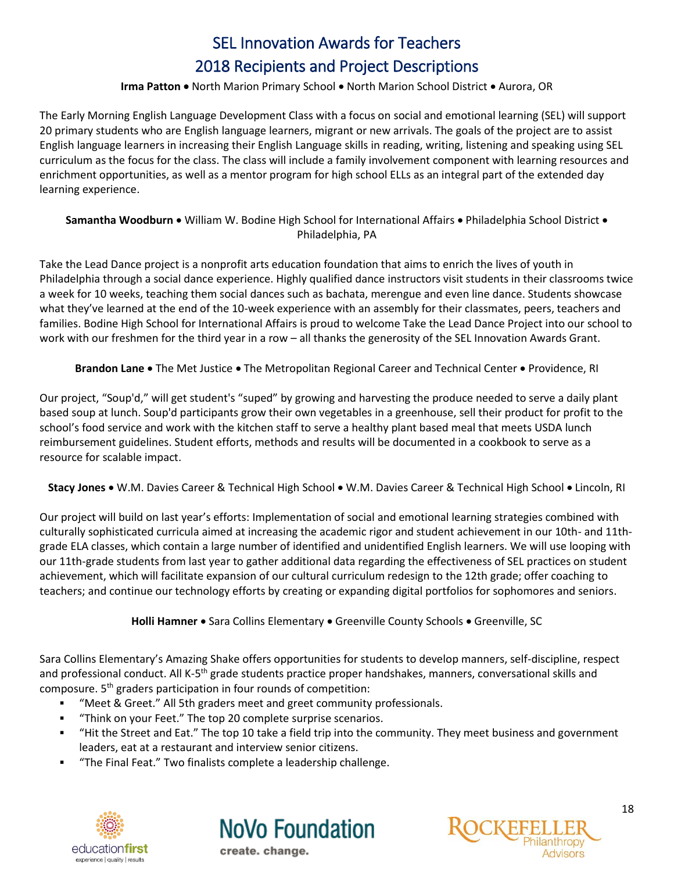## **Irma Patton .** North Marion Primary School . North Marion School District . Aurora, OR

The Early Morning English Language Development Class with a focus on social and emotional learning (SEL) will support 20 primary students who are English language learners, migrant or new arrivals. The goals of the project are to assist English language learners in increasing their English Language skills in reading, writing, listening and speaking using SEL curriculum as the focus for the class. The class will include a family involvement component with learning resources and enrichment opportunities, as well as a mentor program for high school ELLs as an integral part of the extended day learning experience.

<span id="page-17-0"></span>Samantha Woodburn . William W. Bodine High School for International Affairs . Philadelphia School District . Philadelphia, PA

Take the Lead Dance project is a nonprofit arts education foundation that aims to enrich the lives of youth in Philadelphia through a social dance experience. Highly qualified dance instructors visit students in their classrooms twice a week for 10 weeks, teaching them social dances such as bachata, merengue and even line dance. Students showcase what they've learned at the end of the 10-week experience with an assembly for their classmates, peers, teachers and families. Bodine High School for International Affairs is proud to welcome Take the Lead Dance Project into our school to work with our freshmen for the third year in a row – all thanks the generosity of the SEL Innovation Awards Grant.

**Brandon Lane** • The Met Justice • The Metropolitan Regional Career and Technical Center • Providence, RI

<span id="page-17-1"></span>Our project, "Soup'd," will get student's "suped" by growing and harvesting the produce needed to serve a daily plant based soup at lunch. Soup'd participants grow their own vegetables in a greenhouse, sell their product for profit to the school's food service and work with the kitchen staff to serve a healthy plant based meal that meets USDA lunch reimbursement guidelines. Student efforts, methods and results will be documented in a cookbook to serve as a resource for scalable impact.

<span id="page-17-2"></span>**Stacy Jones** • W.M. Davies Career & Technical High School • W.M. Davies Career & Technical High School • Lincoln, RI

Our project will build on last year's efforts: Implementation of social and emotional learning strategies combined with culturally sophisticated curricula aimed at increasing the academic rigor and student achievement in our 10th- and 11thgrade ELA classes, which contain a large number of identified and unidentified English learners. We will use looping with our 11th-grade students from last year to gather additional data regarding the effectiveness of SEL practices on student achievement, which will facilitate expansion of our cultural curriculum redesign to the 12th grade; offer coaching to teachers; and continue our technology efforts by creating or expanding digital portfolios for sophomores and seniors.

**Holli Hamner •** Sara Collins Elementary • Greenville County Schools • Greenville, SC

<span id="page-17-3"></span>Sara Collins Elementary's Amazing Shake offers opportunities for students to develop manners, self-discipline, respect and professional conduct. All K-5<sup>th</sup> grade students practice proper handshakes, manners, conversational skills and composure. 5<sup>th</sup> graders participation in four rounds of competition:

- "Meet & Greet." All 5th graders meet and greet community professionals.
- "Think on your Feet." The top 20 complete surprise scenarios.
- "Hit the Street and Eat." The top 10 take a field trip into the community. They meet business and government leaders, eat at a restaurant and interview senior citizens.
- <span id="page-17-4"></span>"The Final Feat." Two finalists complete a leadership challenge.





**NoVo Foundation**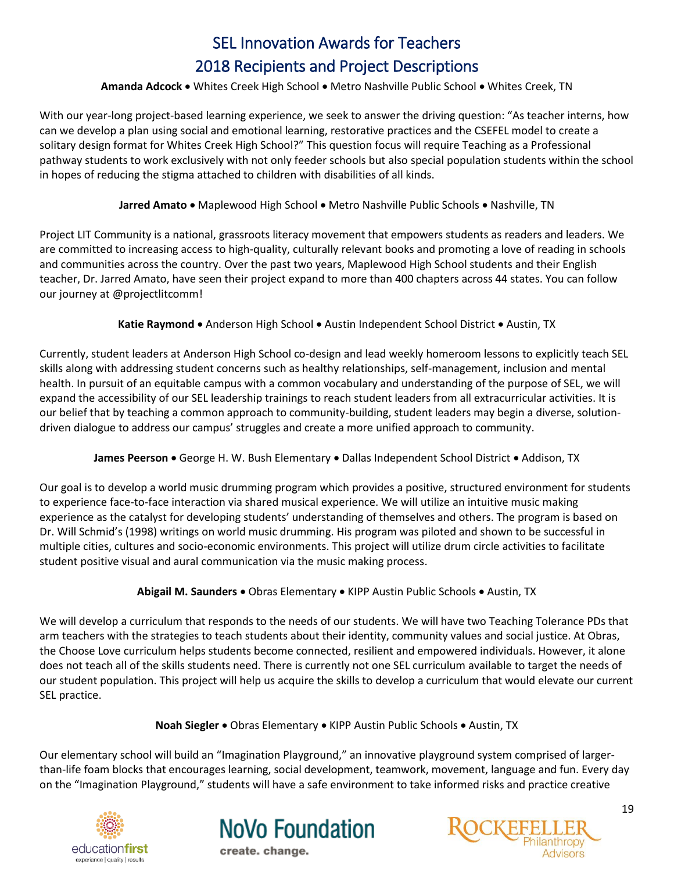# Amanda Adcock . Whites Creek High School . Metro Nashville Public School . Whites Creek, TN

With our year-long project-based learning experience, we seek to answer the driving question: "As teacher interns, how can we develop a plan using social and emotional learning, restorative practices and the CSEFEL model to create a solitary design format for Whites Creek High School?" This question focus will require Teaching as a Professional pathway students to work exclusively with not only feeder schools but also special population students within the school in hopes of reducing the stigma attached to children with disabilities of all kinds.

Jarred Amato . Maplewood High School . Metro Nashville Public Schools . Nashville, TN

<span id="page-18-0"></span>Project LIT Community is a national, grassroots literacy movement that empowers students as readers and leaders. We are committed to increasing access to high-quality, culturally relevant books and promoting a love of reading in schools and communities across the country. Over the past two years, Maplewood High School students and their English teacher, Dr. Jarred Amato, have seen their project expand to more than 400 chapters across 44 states. You can follow our journey at @projectlitcomm!

Katie Raymond • Anderson High School • Austin Independent School District • Austin, TX

<span id="page-18-1"></span>Currently, student leaders at Anderson High School co-design and lead weekly homeroom lessons to explicitly teach SEL skills along with addressing student concerns such as healthy relationships, self-management, inclusion and mental health. In pursuit of an equitable campus with a common vocabulary and understanding of the purpose of SEL, we will expand the accessibility of our SEL leadership trainings to reach student leaders from all extracurricular activities. It is our belief that by teaching a common approach to community-building, student leaders may begin a diverse, solutiondriven dialogue to address our campus' struggles and create a more unified approach to community.

# **James Peerson •** George H. W. Bush Elementary • Dallas Independent School District • Addison, TX

<span id="page-18-2"></span>Our goal is to develop a world music drumming program which provides a positive, structured environment for students to experience face-to-face interaction via shared musical experience. We will utilize an intuitive music making experience as the catalyst for developing students' understanding of themselves and others. The program is based on Dr. Will Schmid's (1998) writings on world music drumming. His program was piloted and shown to be successful in multiple cities, cultures and socio-economic environments. This project will utilize drum circle activities to facilitate student positive visual and aural communication via the music making process.

# **Abigail M. Saunders •** Obras Elementary • KIPP Austin Public Schools • Austin, TX

<span id="page-18-3"></span>We will develop a curriculum that responds to the needs of our students. We will have two Teaching Tolerance PDs that arm teachers with the strategies to teach students about their identity, community values and social justice. At Obras, the Choose Love curriculum helps students become connected, resilient and empowered individuals. However, it alone does not teach all of the skills students need. There is currently not one SEL curriculum available to target the needs of our student population. This project will help us acquire the skills to develop a curriculum that would elevate our current SEL practice.

**Noah Siegler •** Obras Elementary • KIPP Austin Public Schools • Austin, TX

<span id="page-18-4"></span>Our elementary school will build an "Imagination Playground," an innovative playground system comprised of largerthan-life foam blocks that encourages learning, social development, teamwork, movement, language and fun. Every day on the "Imagination Playground," students will have a safe environment to take informed risks and practice creative





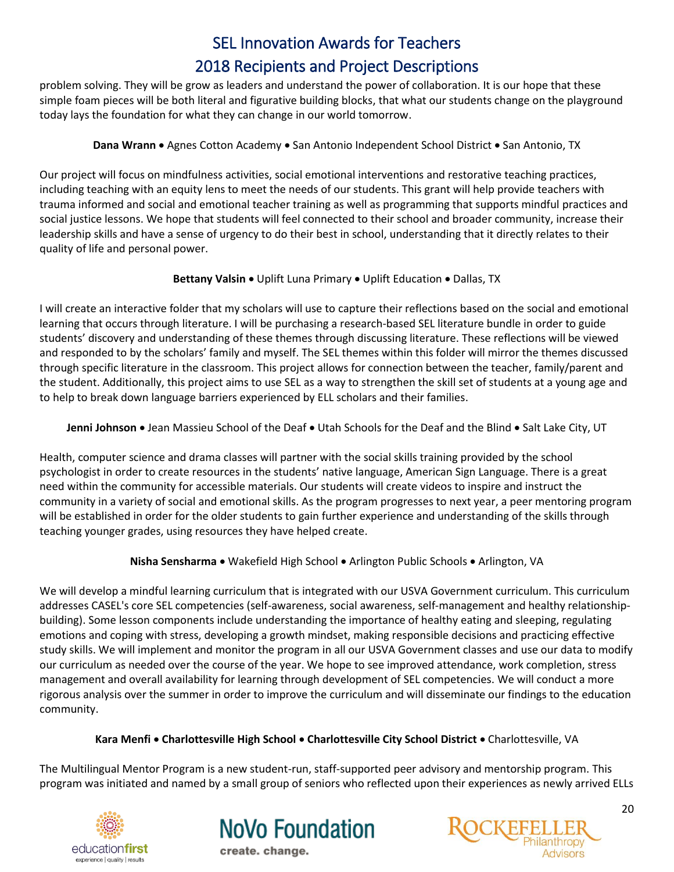problem solving. They will be grow as leaders and understand the power of collaboration. It is our hope that these simple foam pieces will be both literal and figurative building blocks, that what our students change on the playground today lays the foundation for what they can change in our world tomorrow.

# **Dana Wrann •** Agnes Cotton Academy • San Antonio Independent School District • San Antonio, TX

<span id="page-19-0"></span>Our project will focus on mindfulness activities, social emotional interventions and restorative teaching practices, including teaching with an equity lens to meet the needs of our students. This grant will help provide teachers with trauma informed and social and emotional teacher training as well as programming that supports mindful practices and social justice lessons. We hope that students will feel connected to their school and broader community, increase their leadership skills and have a sense of urgency to do their best in school, understanding that it directly relates to their quality of life and personal power.

# **Bettany Valsin .** Uplift Luna Primary . Uplift Education . Dallas, TX

<span id="page-19-1"></span>I will create an interactive folder that my scholars will use to capture their reflections based on the social and emotional learning that occurs through literature. I will be purchasing a research-based SEL literature bundle in order to guide students' discovery and understanding of these themes through discussing literature. These reflections will be viewed and responded to by the scholars' family and myself. The SEL themes within this folder will mirror the themes discussed through specific literature in the classroom. This project allows for connection between the teacher, family/parent and the student. Additionally, this project aims to use SEL as a way to strengthen the skill set of students at a young age and to help to break down language barriers experienced by ELL scholars and their families.

<span id="page-19-2"></span>**Jenni Johnson** • Jean Massieu School of the Deaf • Utah Schools for the Deaf and the Blind • Salt Lake City, UT

Health, computer science and drama classes will partner with the social skills training provided by the school psychologist in order to create resources in the students' native language, American Sign Language. There is a great need within the community for accessible materials. Our students will create videos to inspire and instruct the community in a variety of social and emotional skills. As the program progresses to next year, a peer mentoring program will be established in order for the older students to gain further experience and understanding of the skills through teaching younger grades, using resources they have helped create.

**Nisha Sensharma • Wakefield High School • Arlington Public Schools • Arlington, VA** 

<span id="page-19-3"></span>We will develop a mindful learning curriculum that is integrated with our USVA Government curriculum. This curriculum addresses CASEL's core SEL competencies (self-awareness, social awareness, self-management and healthy relationshipbuilding). Some lesson components include understanding the importance of healthy eating and sleeping, regulating emotions and coping with stress, developing a growth mindset, making responsible decisions and practicing effective study skills. We will implement and monitor the program in all our USVA Government classes and use our data to modify our curriculum as needed over the course of the year. We hope to see improved attendance, work completion, stress management and overall availability for learning through development of SEL competencies. We will conduct a more rigorous analysis over the summer in order to improve the curriculum and will disseminate our findings to the education community.

# **Kara Menfi Charlottesville High School Charlottesville City School District** Charlottesville, VA

<span id="page-19-4"></span>The Multilingual Mentor Program is a new student-run, staff-supported peer advisory and mentorship program. This program was initiated and named by a small group of seniors who reflected upon their experiences as newly arrived ELLs